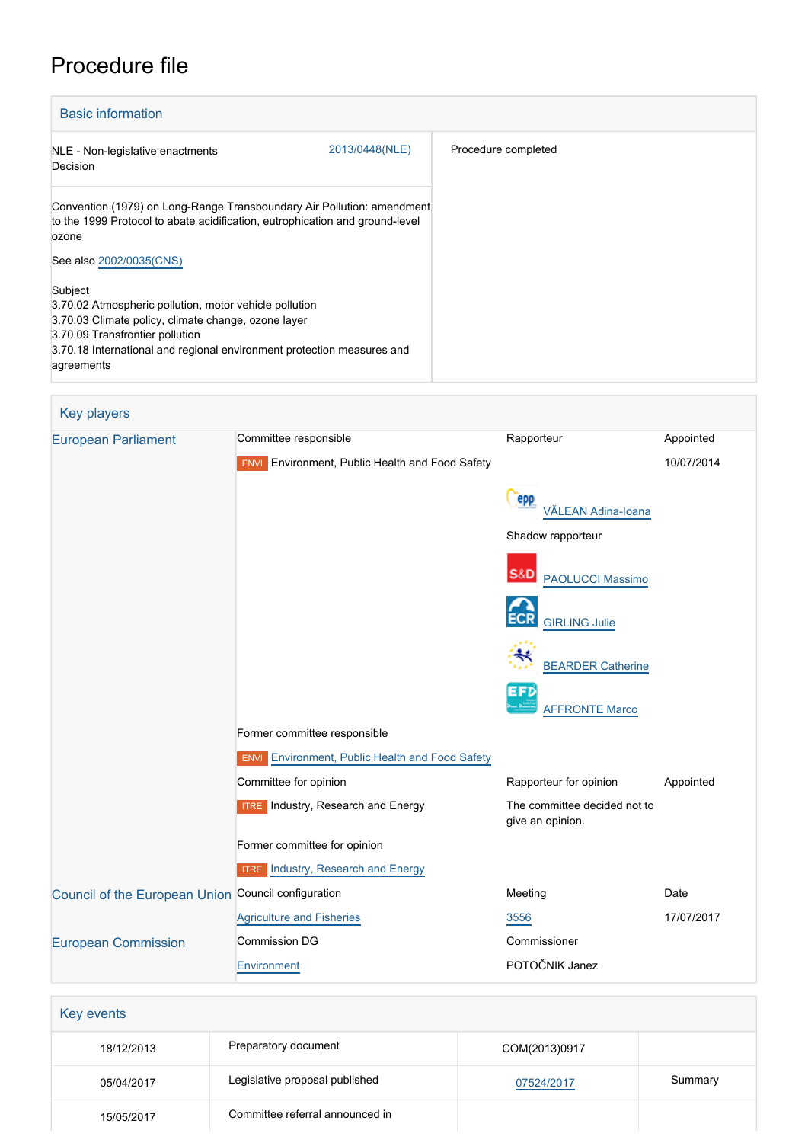# Procedure file



| <b>European Parliament</b>                          | Committee responsible                                     | Rapporteur                                       | Appointed  |
|-----------------------------------------------------|-----------------------------------------------------------|--------------------------------------------------|------------|
|                                                     | Environment, Public Health and Food Safety<br><b>ENVI</b> |                                                  | 10/07/2014 |
|                                                     |                                                           | epp<br>VĂLEAN Adina-Ioana                        |            |
|                                                     |                                                           | Shadow rapporteur                                |            |
|                                                     |                                                           | <b>S&amp;D</b><br><b>PAOLUCCI Massimo</b>        |            |
|                                                     |                                                           | <b>GIRLING Julie</b>                             |            |
|                                                     |                                                           | <b>BEARDER Catherine</b>                         |            |
|                                                     |                                                           | EFD<br><b>AFFRONTE Marco</b>                     |            |
|                                                     | Former committee responsible                              |                                                  |            |
|                                                     | <b>ENVI</b> Environment, Public Health and Food Safety    |                                                  |            |
|                                                     | Committee for opinion                                     | Rapporteur for opinion                           | Appointed  |
|                                                     | <b>ITRE</b> Industry, Research and Energy                 | The committee decided not to<br>give an opinion. |            |
|                                                     | Former committee for opinion                              |                                                  |            |
|                                                     | <b>ITRE</b> Industry, Research and Energy                 |                                                  |            |
| Council of the European Union Council configuration |                                                           | Meeting                                          | Date       |
|                                                     | <b>Agriculture and Fisheries</b>                          | 3556                                             | 17/07/2017 |
| <b>European Commission</b>                          | <b>Commission DG</b>                                      | Commissioner                                     |            |
|                                                     | Environment                                               | POTOČNIK Janez                                   |            |

| Key events |                                 |               |         |
|------------|---------------------------------|---------------|---------|
| 18/12/2013 | Preparatory document            | COM(2013)0917 |         |
| 05/04/2017 | Legislative proposal published  | 07524/2017    | Summary |
| 15/05/2017 | Committee referral announced in |               |         |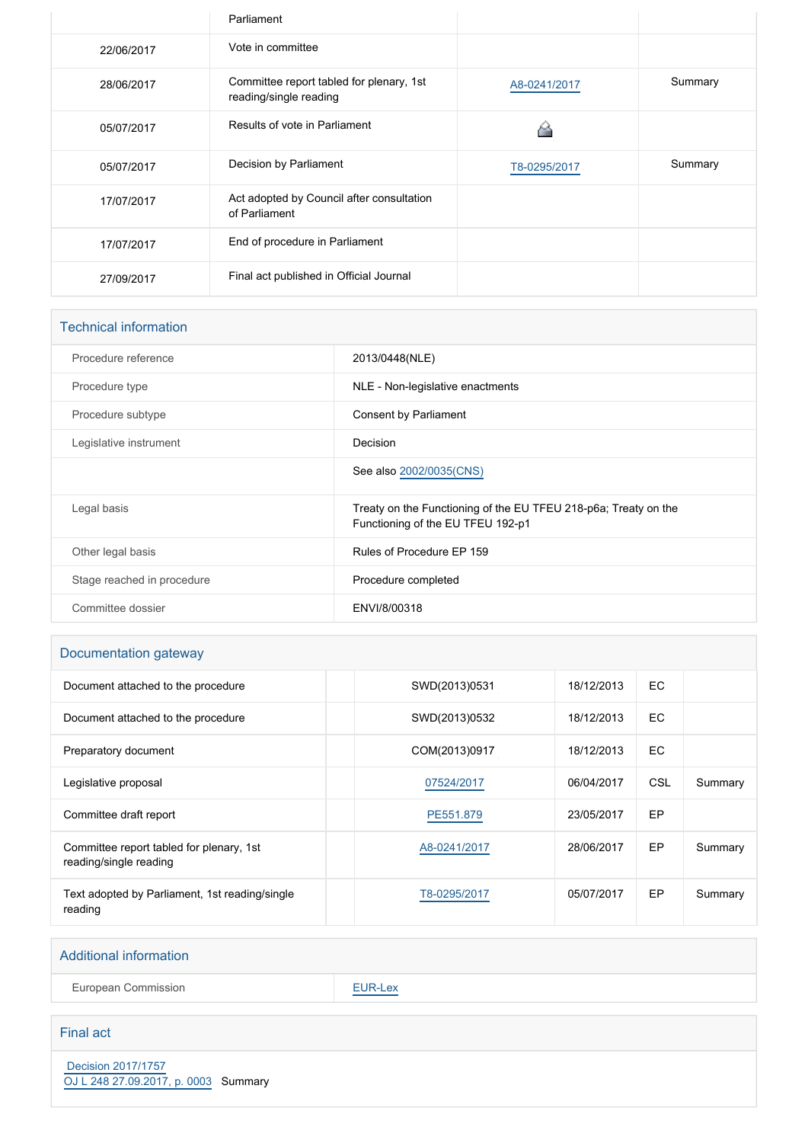|            | Parliament                                                         |              |         |
|------------|--------------------------------------------------------------------|--------------|---------|
| 22/06/2017 | Vote in committee                                                  |              |         |
| 28/06/2017 | Committee report tabled for plenary, 1st<br>reading/single reading | A8-0241/2017 | Summary |
| 05/07/2017 | Results of vote in Parliament                                      |              |         |
| 05/07/2017 | Decision by Parliament                                             | T8-0295/2017 | Summary |
| 17/07/2017 | Act adopted by Council after consultation<br>of Parliament         |              |         |
| 17/07/2017 | End of procedure in Parliament                                     |              |         |
| 27/09/2017 | Final act published in Official Journal                            |              |         |

| <b>Technical information</b> |                                                                                                      |
|------------------------------|------------------------------------------------------------------------------------------------------|
| Procedure reference          | 2013/0448(NLE)                                                                                       |
| Procedure type               | NLE - Non-legislative enactments                                                                     |
| Procedure subtype            | Consent by Parliament                                                                                |
| Legislative instrument       | Decision                                                                                             |
|                              | See also 2002/0035(CNS)                                                                              |
| Legal basis                  | Treaty on the Functioning of the EU TFEU 218-p6a; Treaty on the<br>Functioning of the EU TFEU 192-p1 |
| Other legal basis            | Rules of Procedure EP 159                                                                            |
| Stage reached in procedure   | Procedure completed                                                                                  |
| Committee dossier            | ENVI/8/00318                                                                                         |

## Documentation gateway

| Document attached to the procedure                                 | SWD(2013)0531 | 18/12/2013 | EC.        |         |
|--------------------------------------------------------------------|---------------|------------|------------|---------|
| Document attached to the procedure                                 | SWD(2013)0532 | 18/12/2013 | EC.        |         |
| Preparatory document                                               | COM(2013)0917 | 18/12/2013 | EC.        |         |
| Legislative proposal                                               | 07524/2017    | 06/04/2017 | <b>CSL</b> | Summary |
| Committee draft report                                             | PE551.879     | 23/05/2017 | EP         |         |
| Committee report tabled for plenary, 1st<br>reading/single reading | A8-0241/2017  | 28/06/2017 | EP         | Summary |
| Text adopted by Parliament, 1st reading/single<br>reading          | T8-0295/2017  | 05/07/2017 | EP         | Summary |

#### Additional information

European Commission **[EUR-Lex](http://ec.europa.eu/prelex/liste_resultats.cfm?CL=en&ReqId=0&DocType=NLE&DocYear=2013&DocNum=0448)** 

#### Final act

 [Decision 2017/1757](https://eur-lex.europa.eu/smartapi/cgi/sga_doc?smartapi!celexplus!prod!CELEXnumdoc&lg=EN&numdoc=32017D1757) [OJ L 248 27.09.2017, p. 0003](https://eur-lex.europa.eu/legal-content/EN/TXT/?uri=OJ:L:2017:248:TOC) Summary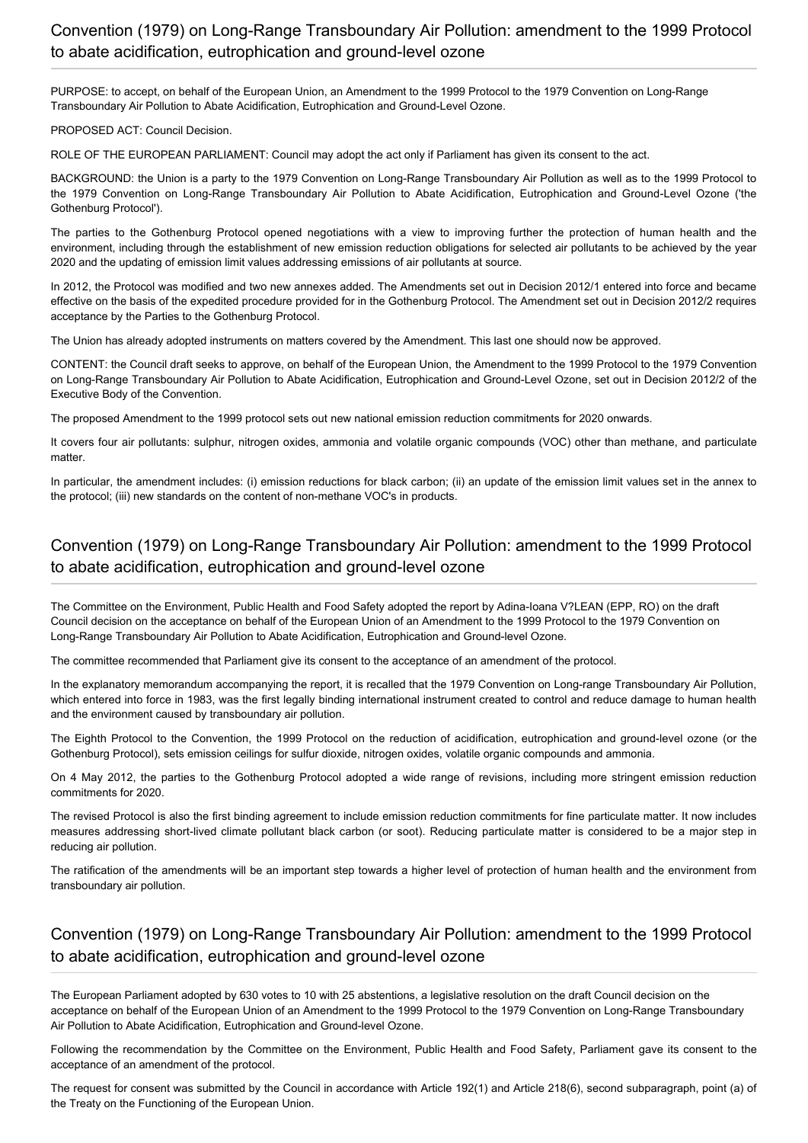# Convention (1979) on Long-Range Transboundary Air Pollution: amendment to the 1999 Protocol to abate acidification, eutrophication and ground-level ozone

PURPOSE: to accept, on behalf of the European Union, an Amendment to the 1999 Protocol to the 1979 Convention on Long-Range Transboundary Air Pollution to Abate Acidification, Eutrophication and Ground-Level Ozone.

PROPOSED ACT: Council Decision.

ROLE OF THE EUROPEAN PARLIAMENT: Council may adopt the act only if Parliament has given its consent to the act.

BACKGROUND: the Union is a party to the 1979 Convention on Long-Range Transboundary Air Pollution as well as to the 1999 Protocol to the 1979 Convention on Long-Range Transboundary Air Pollution to Abate Acidification, Eutrophication and Ground-Level Ozone ('the Gothenburg Protocol').

The parties to the Gothenburg Protocol opened negotiations with a view to improving further the protection of human health and the environment, including through the establishment of new emission reduction obligations for selected air pollutants to be achieved by the year 2020 and the updating of emission limit values addressing emissions of air pollutants at source.

In 2012, the Protocol was modified and two new annexes added. The Amendments set out in Decision 2012/1 entered into force and became effective on the basis of the expedited procedure provided for in the Gothenburg Protocol. The Amendment set out in Decision 2012/2 requires acceptance by the Parties to the Gothenburg Protocol.

The Union has already adopted instruments on matters covered by the Amendment. This last one should now be approved.

CONTENT: the Council draft seeks to approve, on behalf of the European Union, the Amendment to the 1999 Protocol to the 1979 Convention on Long-Range Transboundary Air Pollution to Abate Acidification, Eutrophication and Ground-Level Ozone, set out in Decision 2012/2 of the Executive Body of the Convention.

The proposed Amendment to the 1999 protocol sets out new national emission reduction commitments for 2020 onwards.

It covers four air pollutants: sulphur, nitrogen oxides, ammonia and volatile organic compounds (VOC) other than methane, and particulate matter.

In particular, the amendment includes: (i) emission reductions for black carbon; (ii) an update of the emission limit values set in the annex to the protocol; (iii) new standards on the content of non-methane VOC's in products.

# Convention (1979) on Long-Range Transboundary Air Pollution: amendment to the 1999 Protocol to abate acidification, eutrophication and ground-level ozone

The Committee on the Environment, Public Health and Food Safety adopted the report by Adina-Ioana V?LEAN (EPP, RO) on the draft Council decision on the acceptance on behalf of the European Union of an Amendment to the 1999 Protocol to the 1979 Convention on Long-Range Transboundary Air Pollution to Abate Acidification, Eutrophication and Ground-level Ozone.

The committee recommended that Parliament give its consent to the acceptance of an amendment of the protocol.

In the explanatory memorandum accompanying the report, it is recalled that the 1979 Convention on Long-range Transboundary Air Pollution, which entered into force in 1983, was the first legally binding international instrument created to control and reduce damage to human health and the environment caused by transboundary air pollution.

The Eighth Protocol to the Convention, the 1999 Protocol on the reduction of acidification, eutrophication and ground-level ozone (or the Gothenburg Protocol), sets emission ceilings for sulfur dioxide, nitrogen oxides, volatile organic compounds and ammonia.

On 4 May 2012, the parties to the Gothenburg Protocol adopted a wide range of revisions, including more stringent emission reduction commitments for 2020.

The revised Protocol is also the first binding agreement to include emission reduction commitments for fine particulate matter. It now includes measures addressing short-lived climate pollutant black carbon (or soot). Reducing particulate matter is considered to be a major step in reducing air pollution.

The ratification of the amendments will be an important step towards a higher level of protection of human health and the environment from transboundary air pollution.

## Convention (1979) on Long-Range Transboundary Air Pollution: amendment to the 1999 Protocol to abate acidification, eutrophication and ground-level ozone

The European Parliament adopted by 630 votes to 10 with 25 abstentions, a legislative resolution on the draft Council decision on the acceptance on behalf of the European Union of an Amendment to the 1999 Protocol to the 1979 Convention on Long-Range Transboundary Air Pollution to Abate Acidification, Eutrophication and Ground-level Ozone.

Following the recommendation by the Committee on the Environment, Public Health and Food Safety, Parliament gave its consent to the acceptance of an amendment of the protocol.

The request for consent was submitted by the Council in accordance with Article 192(1) and Article 218(6), second subparagraph, point (a) of the Treaty on the Functioning of the European Union.